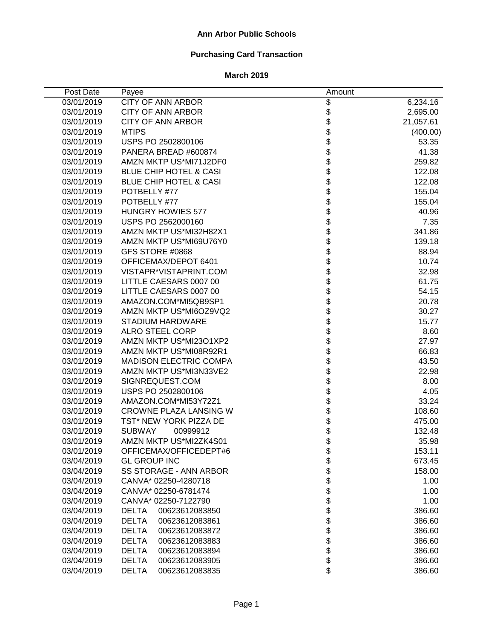### **Ann Arbor Public Schools**

# **Purchasing Card Transaction**

| Post Date  | Payee                             | Amount                       |           |
|------------|-----------------------------------|------------------------------|-----------|
| 03/01/2019 | <b>CITY OF ANN ARBOR</b>          | \$                           | 6,234.16  |
| 03/01/2019 | <b>CITY OF ANN ARBOR</b>          |                              | 2,695.00  |
| 03/01/2019 | CITY OF ANN ARBOR                 | <b>88888888</b>              | 21,057.61 |
| 03/01/2019 | <b>MTIPS</b>                      |                              | (400.00)  |
| 03/01/2019 | USPS PO 2502800106                |                              | 53.35     |
| 03/01/2019 | PANERA BREAD #600874              |                              | 41.38     |
| 03/01/2019 | AMZN MKTP US*MI71J2DF0            |                              | 259.82    |
| 03/01/2019 | <b>BLUE CHIP HOTEL &amp; CASI</b> |                              | 122.08    |
| 03/01/2019 | <b>BLUE CHIP HOTEL &amp; CASI</b> |                              | 122.08    |
| 03/01/2019 | POTBELLY #77                      |                              | 155.04    |
| 03/01/2019 | POTBELLY #77                      | \$<br>\$                     | 155.04    |
| 03/01/2019 | <b>HUNGRY HOWIES 577</b>          |                              | 40.96     |
| 03/01/2019 | USPS PO 2562000160                | \$                           | 7.35      |
| 03/01/2019 | AMZN MKTP US*MI32H82X1            | \$                           | 341.86    |
| 03/01/2019 | AMZN MKTP US*MI69U76Y0            | \$                           | 139.18    |
| 03/01/2019 | GFS STORE #0868                   | \$                           | 88.94     |
| 03/01/2019 | OFFICEMAX/DEPOT 6401              |                              | 10.74     |
| 03/01/2019 | VISTAPR*VISTAPRINT.COM            |                              | 32.98     |
| 03/01/2019 | LITTLE CAESARS 0007 00            |                              | 61.75     |
| 03/01/2019 | LITTLE CAESARS 0007 00            |                              | 54.15     |
| 03/01/2019 | AMAZON.COM*MI5QB9SP1              | <b>888888888888888888888</b> | 20.78     |
| 03/01/2019 | AMZN MKTP US*MI6OZ9VQ2            |                              | 30.27     |
| 03/01/2019 | <b>STADIUM HARDWARE</b>           |                              | 15.77     |
| 03/01/2019 | <b>ALRO STEEL CORP</b>            |                              | 8.60      |
| 03/01/2019 | AMZN MKTP US*MI23O1XP2            |                              | 27.97     |
| 03/01/2019 | AMZN MKTP US*MI08R92R1            |                              | 66.83     |
| 03/01/2019 | <b>MADISON ELECTRIC COMPA</b>     |                              | 43.50     |
| 03/01/2019 | AMZN MKTP US*MI3N33VE2            |                              | 22.98     |
| 03/01/2019 | SIGNREQUEST.COM                   |                              | 8.00      |
| 03/01/2019 | USPS PO 2502800106                | \$                           | 4.05      |
| 03/01/2019 | AMAZON.COM*MI53Y72Z1              | \$                           | 33.24     |
| 03/01/2019 | CROWNE PLAZA LANSING W            | \$                           | 108.60    |
| 03/01/2019 | TST* NEW YORK PIZZA DE            | \$                           | 475.00    |
| 03/01/2019 | <b>SUBWAY</b><br>00999912         | \$                           | 132.48    |
| 03/01/2019 | AMZN MKTP US*MI2ZK4S01            | \$                           | 35.98     |
| 03/01/2019 | OFFICEMAX/OFFICEDEPT#6            | \$                           | 153.11    |
| 03/04/2019 | <b>GL GROUP INC</b>               |                              | 673.45    |
| 03/04/2019 | SS STORAGE - ANN ARBOR            | \$\$                         | 158.00    |
| 03/04/2019 | CANVA* 02250-4280718              |                              | 1.00      |
| 03/04/2019 | CANVA* 02250-6781474              | \$<br>\$                     | 1.00      |
| 03/04/2019 | CANVA* 02250-7122790              |                              | 1.00      |
| 03/04/2019 | <b>DELTA</b><br>00623612083850    | \$                           | 386.60    |
| 03/04/2019 | <b>DELTA</b><br>00623612083861    | \$                           | 386.60    |
| 03/04/2019 | <b>DELTA</b><br>00623612083872    | \$<br>\$                     | 386.60    |
| 03/04/2019 | <b>DELTA</b><br>00623612083883    |                              | 386.60    |
| 03/04/2019 | <b>DELTA</b><br>00623612083894    | \$                           | 386.60    |
| 03/04/2019 | <b>DELTA</b><br>00623612083905    | \$                           | 386.60    |
| 03/04/2019 | <b>DELTA</b><br>00623612083835    | \$                           | 386.60    |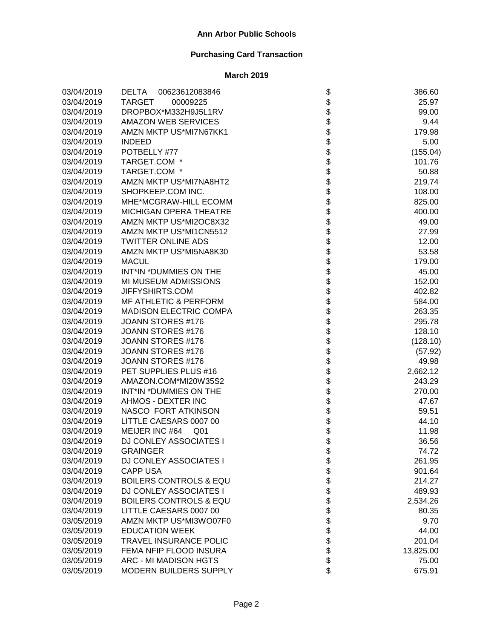| 03/04/2019 | <b>DELTA</b><br>00623612083846    | \$                           | 386.60    |
|------------|-----------------------------------|------------------------------|-----------|
| 03/04/2019 | <b>TARGET</b><br>00009225         |                              | 25.97     |
| 03/04/2019 | DROPBOX*M332H9J5L1RV              |                              | 99.00     |
| 03/04/2019 | <b>AMAZON WEB SERVICES</b>        |                              | 9.44      |
| 03/04/2019 | AMZN MKTP US*MI7N67KK1            |                              | 179.98    |
| 03/04/2019 | <b>INDEED</b>                     |                              | 5.00      |
| 03/04/2019 | POTBELLY #77                      |                              | (155.04)  |
| 03/04/2019 | TARGET.COM *                      |                              | 101.76    |
| 03/04/2019 | TARGET.COM *                      |                              | 50.88     |
| 03/04/2019 | AMZN MKTP US*MI7NA8HT2            |                              | 219.74    |
| 03/04/2019 | SHOPKEEP.COM INC.                 |                              | 108.00    |
| 03/04/2019 | MHE*MCGRAW-HILL ECOMM             |                              | 825.00    |
| 03/04/2019 | <b>MICHIGAN OPERA THEATRE</b>     |                              | 400.00    |
| 03/04/2019 | AMZN MKTP US*MI2OC8X32            |                              | 49.00     |
| 03/04/2019 | AMZN MKTP US*MI1CN5512            |                              | 27.99     |
| 03/04/2019 | <b>TWITTER ONLINE ADS</b>         |                              | 12.00     |
| 03/04/2019 | AMZN MKTP US*MI5NA8K30            |                              | 53.58     |
| 03/04/2019 | <b>MACUL</b>                      |                              | 179.00    |
| 03/04/2019 | INT*IN *DUMMIES ON THE            |                              | 45.00     |
| 03/04/2019 | MI MUSEUM ADMISSIONS              |                              | 152.00    |
| 03/04/2019 | JIFFYSHIRTS.COM                   |                              | 402.82    |
| 03/04/2019 | <b>MF ATHLETIC &amp; PERFORM</b>  |                              | 584.00    |
| 03/04/2019 | <b>MADISON ELECTRIC COMPA</b>     |                              | 263.35    |
| 03/04/2019 | JOANN STORES #176                 |                              | 295.78    |
| 03/04/2019 | JOANN STORES #176                 |                              | 128.10    |
| 03/04/2019 | JOANN STORES #176                 |                              | (128.10)  |
| 03/04/2019 | JOANN STORES #176                 |                              | (57.92)   |
| 03/04/2019 | JOANN STORES #176                 |                              | 49.98     |
| 03/04/2019 | PET SUPPLIES PLUS #16             |                              | 2,662.12  |
| 03/04/2019 | AMAZON.COM*MI20W35S2              |                              | 243.29    |
| 03/04/2019 | INT*IN *DUMMIES ON THE            |                              | 270.00    |
| 03/04/2019 | AHMOS - DEXTER INC                |                              | 47.67     |
| 03/04/2019 | NASCO FORT ATKINSON               |                              | 59.51     |
| 03/04/2019 | LITTLE CAESARS 0007 00            |                              | 44.10     |
| 03/04/2019 | MEIJER INC #64<br>Q <sub>01</sub> |                              | 11.98     |
| 03/04/2019 | <b>DJ CONLEY ASSOCIATES I</b>     |                              | 36.56     |
| 03/04/2019 | <b>GRAINGER</b>                   | \$                           | 74.72     |
| 03/04/2019 | <b>DJ CONLEY ASSOCIATES I</b>     |                              | 261.95    |
| 03/04/2019 | <b>CAPP USA</b>                   |                              | 901.64    |
| 03/04/2019 | <b>BOILERS CONTROLS &amp; EQU</b> |                              | 214.27    |
| 03/04/2019 | <b>DJ CONLEY ASSOCIATES I</b>     |                              | 489.93    |
| 03/04/2019 | <b>BOILERS CONTROLS &amp; EQU</b> |                              | 2,534.26  |
| 03/04/2019 | LITTLE CAESARS 0007 00            |                              | 80.35     |
| 03/05/2019 | AMZN MKTP US*MI3WO07F0            |                              | 9.70      |
| 03/05/2019 | <b>EDUCATION WEEK</b>             |                              | 44.00     |
| 03/05/2019 | <b>TRAVEL INSURANCE POLIC</b>     | \$\$\$\$\$\$\$\$\$\$\$\$\$\$ | 201.04    |
| 03/05/2019 | FEMA NFIP FLOOD INSURA            |                              | 13,825.00 |
| 03/05/2019 | ARC - MI MADISON HGTS             |                              | 75.00     |
| 03/05/2019 | MODERN BUILDERS SUPPLY            |                              | 675.91    |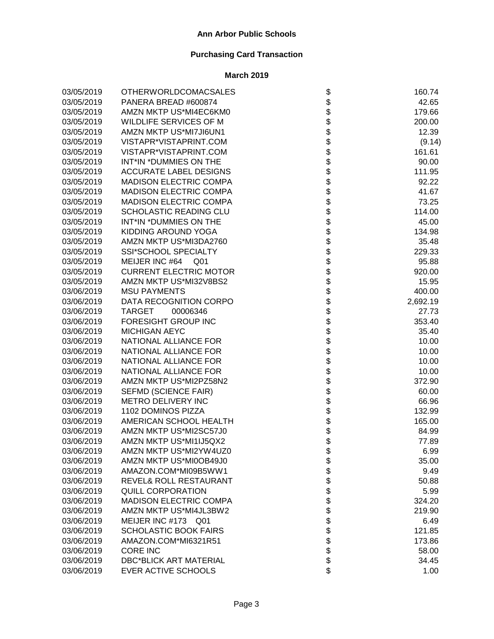| 03/05/2019 | <b>OTHERWORLDCOMACSALES</b>       |                    | 160.74   |
|------------|-----------------------------------|--------------------|----------|
| 03/05/2019 | PANERA BREAD #600874              |                    | 42.65    |
| 03/05/2019 | AMZN MKTP US*MI4EC6KM0            |                    | 179.66   |
| 03/05/2019 | WILDLIFE SERVICES OF M            |                    | 200.00   |
| 03/05/2019 | AMZN MKTP US*MI7JI6UN1            |                    | 12.39    |
| 03/05/2019 | VISTAPR*VISTAPRINT.COM            |                    | (9.14)   |
| 03/05/2019 | VISTAPR*VISTAPRINT.COM            |                    | 161.61   |
| 03/05/2019 | INT*IN *DUMMIES ON THE            |                    | 90.00    |
| 03/05/2019 | <b>ACCURATE LABEL DESIGNS</b>     |                    | 111.95   |
| 03/05/2019 | <b>MADISON ELECTRIC COMPA</b>     |                    | 92.22    |
| 03/05/2019 | <b>MADISON ELECTRIC COMPA</b>     |                    | 41.67    |
| 03/05/2019 | <b>MADISON ELECTRIC COMPA</b>     |                    | 73.25    |
| 03/05/2019 | SCHOLASTIC READING CLU            |                    | 114.00   |
| 03/05/2019 | INT*IN *DUMMIES ON THE            |                    | 45.00    |
| 03/05/2019 | KIDDING AROUND YOGA               |                    | 134.98   |
| 03/05/2019 | AMZN MKTP US*MI3DA2760            |                    | 35.48    |
| 03/05/2019 | SSI*SCHOOL SPECIALTY              |                    | 229.33   |
| 03/05/2019 | MEIJER INC #64<br>Q <sub>01</sub> |                    | 95.88    |
| 03/05/2019 | <b>CURRENT ELECTRIC MOTOR</b>     |                    | 920.00   |
| 03/05/2019 | AMZN MKTP US*MI32V8BS2            |                    | 15.95    |
| 03/06/2019 | <b>MSU PAYMENTS</b>               |                    | 400.00   |
| 03/06/2019 | DATA RECOGNITION CORPO            |                    | 2,692.19 |
| 03/06/2019 | <b>TARGET</b><br>00006346         |                    | 27.73    |
| 03/06/2019 | FORESIGHT GROUP INC               |                    | 353.40   |
| 03/06/2019 | MICHIGAN AEYC                     |                    | 35.40    |
| 03/06/2019 | NATIONAL ALLIANCE FOR             |                    | 10.00    |
| 03/06/2019 | NATIONAL ALLIANCE FOR             |                    | 10.00    |
| 03/06/2019 | NATIONAL ALLIANCE FOR             |                    | 10.00    |
| 03/06/2019 | NATIONAL ALLIANCE FOR             |                    | 10.00    |
| 03/06/2019 | AMZN MKTP US*MI2PZ58N2            |                    | 372.90   |
| 03/06/2019 | SEFMD (SCIENCE FAIR)              |                    | 60.00    |
| 03/06/2019 | METRO DELIVERY INC                |                    | 66.96    |
| 03/06/2019 | 1102 DOMINOS PIZZA                |                    | 132.99   |
| 03/06/2019 | AMERICAN SCHOOL HEALTH            | \$                 | 165.00   |
| 03/06/2019 | AMZN MKTP US*MI2SC57J0            | \$<br>\$           | 84.99    |
| 03/06/2019 | AMZN MKTP US*MI1IJ5QX2            |                    | 77.89    |
| 03/06/2019 | AMZN MKTP US*MI2YW4UZ0            | \$                 | 6.99     |
| 03/06/2019 | AMZN MKTP US*MI0OB49J0            |                    | 35.00    |
| 03/06/2019 | AMAZON.COM*MI09B5WW1              |                    | 9.49     |
| 03/06/2019 | REVEL& ROLL RESTAURANT            |                    | 50.88    |
| 03/06/2019 | QUILL CORPORATION                 |                    | 5.99     |
| 03/06/2019 | <b>MADISON ELECTRIC COMPA</b>     |                    | 324.20   |
| 03/06/2019 | AMZN MKTP US*MI4JL3BW2            |                    | 219.90   |
| 03/06/2019 | MEIJER INC #173 Q01               |                    | 6.49     |
| 03/06/2019 | <b>SCHOLASTIC BOOK FAIRS</b>      |                    | 121.85   |
| 03/06/2019 | AMAZON.COM*MI6321R51              | <b>88888888888</b> | 173.86   |
| 03/06/2019 | <b>CORE INC</b>                   |                    | 58.00    |
| 03/06/2019 | <b>DBC*BLICK ART MATERIAL</b>     |                    | 34.45    |
| 03/06/2019 | EVER ACTIVE SCHOOLS               | \$                 | 1.00     |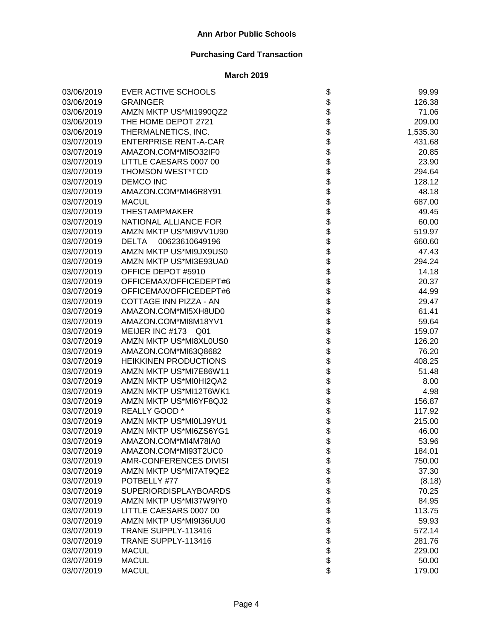| 03/06/2019 | EVER ACTIVE SCHOOLS            | \$                                     | 99.99    |
|------------|--------------------------------|----------------------------------------|----------|
| 03/06/2019 | <b>GRAINGER</b>                | \$                                     | 126.38   |
| 03/06/2019 | AMZN MKTP US*MI1990QZ2         |                                        | 71.06    |
| 03/06/2019 | THE HOME DEPOT 2721            |                                        | 209.00   |
| 03/06/2019 | THERMALNETICS, INC.            |                                        | 1,535.30 |
| 03/07/2019 | <b>ENTERPRISE RENT-A-CAR</b>   |                                        | 431.68   |
| 03/07/2019 | AMAZON.COM*MI5O32IF0           |                                        | 20.85    |
| 03/07/2019 | LITTLE CAESARS 0007 00         |                                        | 23.90    |
| 03/07/2019 | THOMSON WEST*TCD               | <b>88888888</b>                        | 294.64   |
| 03/07/2019 | <b>DEMCO INC</b>               |                                        | 128.12   |
| 03/07/2019 | AMAZON.COM*MI46R8Y91           |                                        | 48.18    |
| 03/07/2019 | <b>MACUL</b>                   |                                        | 687.00   |
| 03/07/2019 | <b>THESTAMPMAKER</b>           |                                        | 49.45    |
| 03/07/2019 | NATIONAL ALLIANCE FOR          |                                        | 60.00    |
| 03/07/2019 | AMZN MKTP US*MI9VV1U90         | \$\$\$                                 | 519.97   |
| 03/07/2019 | <b>DELTA</b><br>00623610649196 |                                        | 660.60   |
| 03/07/2019 | AMZN MKTP US*MI9JX9US0         |                                        | 47.43    |
| 03/07/2019 | AMZN MKTP US*MI3E93UA0         |                                        | 294.24   |
| 03/07/2019 | OFFICE DEPOT #5910             |                                        | 14.18    |
| 03/07/2019 | OFFICEMAX/OFFICEDEPT#6         |                                        | 20.37    |
| 03/07/2019 | OFFICEMAX/OFFICEDEPT#6         |                                        | 44.99    |
| 03/07/2019 | COTTAGE INN PIZZA - AN         |                                        | 29.47    |
| 03/07/2019 | AMAZON.COM*MI5XH8UD0           |                                        | 61.41    |
| 03/07/2019 | AMAZON.COM*MI8M18YV1           |                                        | 59.64    |
| 03/07/2019 | MEIJER INC #173 Q01            | \$\$\$\$\$\$\$\$\$\$\$\$\$\$\$\$\$\$\$ | 159.07   |
| 03/07/2019 | AMZN MKTP US*MI8XL0US0         |                                        | 126.20   |
| 03/07/2019 | AMAZON.COM*MI63Q8682           |                                        | 76.20    |
| 03/07/2019 | <b>HEIKKINEN PRODUCTIONS</b>   |                                        | 408.25   |
| 03/07/2019 | AMZN MKTP US*MI7E86W11         |                                        | 51.48    |
| 03/07/2019 | AMZN MKTP US*MI0HI2QA2         |                                        | 8.00     |
| 03/07/2019 | AMZN MKTP US*MI12T6WK1         |                                        | 4.98     |
| 03/07/2019 | AMZN MKTP US*MI6YF8QJ2         |                                        | 156.87   |
| 03/07/2019 | REALLY GOOD *                  | \$                                     | 117.92   |
| 03/07/2019 | AMZN MKTP US*MI0LJ9YU1         | \$\$                                   | 215.00   |
| 03/07/2019 | AMZN MKTP US*MI6ZS6YG1         |                                        | 46.00    |
| 03/07/2019 | AMAZON.COM*MI4M78IA0           |                                        | 53.96    |
| 03/07/2019 | AMAZON.COM*MI93T2UC0           | P                                      | 184.01   |
| 03/07/2019 | AMR-CONFERENCES DIVISI         |                                        | 750.00   |
| 03/07/2019 | AMZN MKTP US*MI7AT9QE2         |                                        | 37.30    |
| 03/07/2019 | POTBELLY #77                   |                                        | (8.18)   |
| 03/07/2019 | <b>SUPERIORDISPLAYBOARDS</b>   |                                        | 70.25    |
| 03/07/2019 | AMZN MKTP US*MI37W9IY0         |                                        | 84.95    |
| 03/07/2019 | LITTLE CAESARS 0007 00         |                                        | 113.75   |
| 03/07/2019 | AMZN MKTP US*MI9I36UU0         |                                        | 59.93    |
| 03/07/2019 | TRANE SUPPLY-113416            |                                        | 572.14   |
| 03/07/2019 | TRANE SUPPLY-113416            | <b>8888888888</b>                      | 281.76   |
| 03/07/2019 | <b>MACUL</b>                   |                                        | 229.00   |
| 03/07/2019 | <b>MACUL</b>                   |                                        | 50.00    |
| 03/07/2019 | <b>MACUL</b>                   | \$                                     | 179.00   |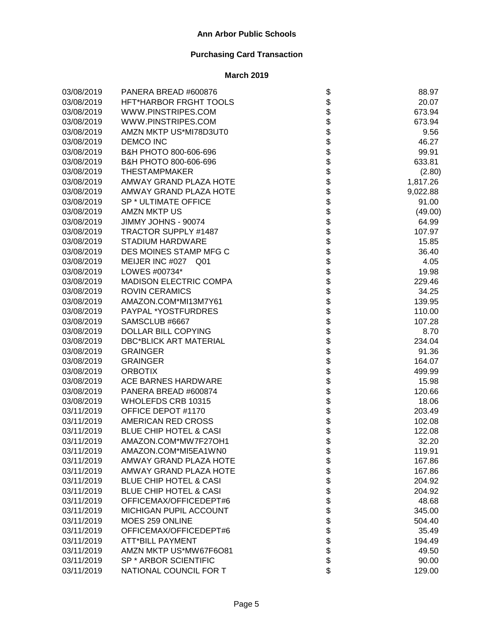| 03/08/2019 | PANERA BREAD #600876              | \$                                                           | 88.97    |
|------------|-----------------------------------|--------------------------------------------------------------|----------|
| 03/08/2019 | HFT*HARBOR FRGHT TOOLS            |                                                              | 20.07    |
| 03/08/2019 | WWW.PINSTRIPES.COM                |                                                              | 673.94   |
| 03/08/2019 | WWW.PINSTRIPES.COM                |                                                              | 673.94   |
| 03/08/2019 | AMZN MKTP US*MI78D3UT0            |                                                              | 9.56     |
| 03/08/2019 | <b>DEMCO INC</b>                  | \$\$\$\$\$                                                   | 46.27    |
| 03/08/2019 | B&H PHOTO 800-606-696             |                                                              | 99.91    |
| 03/08/2019 | B&H PHOTO 800-606-696             |                                                              | 633.81   |
| 03/08/2019 | <b>THESTAMPMAKER</b>              |                                                              | (2.80)   |
| 03/08/2019 | <b>AMWAY GRAND PLAZA HOTE</b>     |                                                              | 1,817.26 |
| 03/08/2019 | AMWAY GRAND PLAZA HOTE            |                                                              | 9,022.88 |
| 03/08/2019 | SP * ULTIMATE OFFICE              |                                                              | 91.00    |
| 03/08/2019 | <b>AMZN MKTP US</b>               |                                                              | (49.00)  |
| 03/08/2019 | JIMMY JOHNS - 90074               |                                                              | 64.99    |
| 03/08/2019 | TRACTOR SUPPLY #1487              |                                                              | 107.97   |
| 03/08/2019 | <b>STADIUM HARDWARE</b>           |                                                              | 15.85    |
| 03/08/2019 | DES MOINES STAMP MFG C            |                                                              | 36.40    |
| 03/08/2019 | MEIJER INC #027 Q01               |                                                              | 4.05     |
| 03/08/2019 | LOWES #00734*                     |                                                              | 19.98    |
| 03/08/2019 | <b>MADISON ELECTRIC COMPA</b>     |                                                              | 229.46   |
| 03/08/2019 | <b>ROVIN CERAMICS</b>             |                                                              | 34.25    |
| 03/08/2019 | AMAZON.COM*MI13M7Y61              |                                                              | 139.95   |
| 03/08/2019 | PAYPAL *YOSTFURDRES               |                                                              | 110.00   |
| 03/08/2019 | SAMSCLUB #6667                    |                                                              | 107.28   |
| 03/08/2019 | DOLLAR BILL COPYING               | \$\$\$\$\$\$\$\$\$\$\$\$\$\$\$\$\$\$\$\$\$\$\$\$\$\$\$\$\$\$ | 8.70     |
| 03/08/2019 | <b>DBC*BLICK ART MATERIAL</b>     |                                                              | 234.04   |
| 03/08/2019 | <b>GRAINGER</b>                   |                                                              | 91.36    |
| 03/08/2019 | <b>GRAINGER</b>                   |                                                              | 164.07   |
| 03/08/2019 | <b>ORBOTIX</b>                    |                                                              | 499.99   |
| 03/08/2019 | <b>ACE BARNES HARDWARE</b>        |                                                              | 15.98    |
| 03/08/2019 | PANERA BREAD #600874              |                                                              | 120.66   |
| 03/08/2019 | WHOLEFDS CRB 10315                | \$                                                           | 18.06    |
| 03/11/2019 | OFFICE DEPOT #1170                | \$\$\$\$                                                     | 203.49   |
| 03/11/2019 | AMERICAN RED CROSS                |                                                              | 102.08   |
| 03/11/2019 | <b>BLUE CHIP HOTEL &amp; CASI</b> |                                                              | 122.08   |
| 03/11/2019 | AMAZON.COM*MW7F27OH1              |                                                              | 32.20    |
| 03/11/2019 | AMAZON.COM*MI5EA1WN0              | \$                                                           | 119.91   |
| 03/11/2019 | AMWAY GRAND PLAZA HOTE            |                                                              | 167.86   |
| 03/11/2019 | AMWAY GRAND PLAZA HOTE            |                                                              | 167.86   |
| 03/11/2019 | <b>BLUE CHIP HOTEL &amp; CASI</b> |                                                              | 204.92   |
| 03/11/2019 | <b>BLUE CHIP HOTEL &amp; CASI</b> |                                                              | 204.92   |
| 03/11/2019 | OFFICEMAX/OFFICEDEPT#6            |                                                              | 48.68    |
| 03/11/2019 | <b>MICHIGAN PUPIL ACCOUNT</b>     |                                                              | 345.00   |
| 03/11/2019 | MOES 259 ONLINE                   |                                                              | 504.40   |
| 03/11/2019 | OFFICEMAX/OFFICEDEPT#6            | <b>88888888888</b>                                           | 35.49    |
| 03/11/2019 | <b>ATT*BILL PAYMENT</b>           |                                                              | 194.49   |
| 03/11/2019 | AMZN MKTP US*MW67F6O81            |                                                              | 49.50    |
| 03/11/2019 | SP * ARBOR SCIENTIFIC             |                                                              | 90.00    |
| 03/11/2019 | NATIONAL COUNCIL FOR T            | \$                                                           | 129.00   |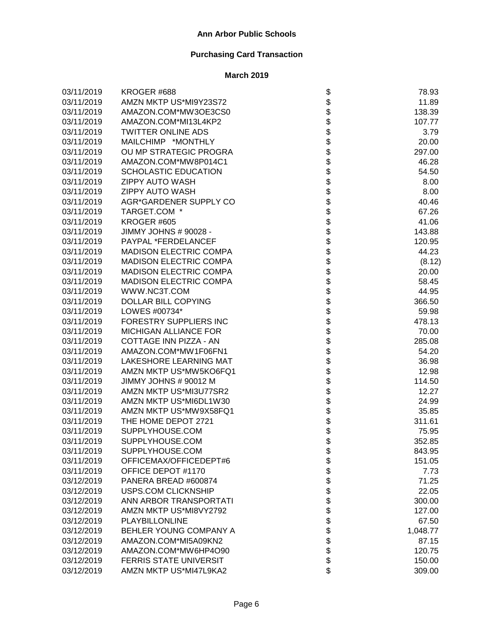| 03/11/2019 | KROGER #688                   | \$                | 78.93    |
|------------|-------------------------------|-------------------|----------|
| 03/11/2019 | AMZN MKTP US*MI9Y23S72        |                   | 11.89    |
| 03/11/2019 | AMAZON.COM*MW3OE3CS0          |                   | 138.39   |
| 03/11/2019 | AMAZON.COM*MI13L4KP2          |                   | 107.77   |
| 03/11/2019 | <b>TWITTER ONLINE ADS</b>     |                   | 3.79     |
| 03/11/2019 | MAILCHIMP *MONTHLY            |                   | 20.00    |
| 03/11/2019 | OU MP STRATEGIC PROGRA        |                   | 297.00   |
| 03/11/2019 | AMAZON.COM*MW8P014C1          |                   | 46.28    |
| 03/11/2019 | SCHOLASTIC EDUCATION          |                   | 54.50    |
| 03/11/2019 | <b>ZIPPY AUTO WASH</b>        |                   | 8.00     |
| 03/11/2019 | <b>ZIPPY AUTO WASH</b>        |                   | 8.00     |
| 03/11/2019 | AGR*GARDENER SUPPLY CO        |                   | 40.46    |
| 03/11/2019 | TARGET.COM *                  |                   | 67.26    |
| 03/11/2019 | KROGER #605                   |                   | 41.06    |
| 03/11/2019 | JIMMY JOHNS # 90028 -         |                   | 143.88   |
| 03/11/2019 | PAYPAL *FERDELANCEF           |                   | 120.95   |
| 03/11/2019 | <b>MADISON ELECTRIC COMPA</b> |                   | 44.23    |
| 03/11/2019 | <b>MADISON ELECTRIC COMPA</b> |                   | (8.12)   |
| 03/11/2019 | <b>MADISON ELECTRIC COMPA</b> |                   | 20.00    |
| 03/11/2019 | <b>MADISON ELECTRIC COMPA</b> |                   | 58.45    |
| 03/11/2019 | WWW.NC3T.COM                  |                   | 44.95    |
| 03/11/2019 | DOLLAR BILL COPYING           |                   | 366.50   |
| 03/11/2019 | LOWES #00734*                 |                   | 59.98    |
| 03/11/2019 | <b>FORESTRY SUPPLIERS INC</b> |                   | 478.13   |
| 03/11/2019 | MICHIGAN ALLIANCE FOR         |                   | 70.00    |
| 03/11/2019 | COTTAGE INN PIZZA - AN        |                   | 285.08   |
| 03/11/2019 | AMAZON.COM*MW1F06FN1          |                   | 54.20    |
| 03/11/2019 | LAKESHORE LEARNING MAT        |                   | 36.98    |
| 03/11/2019 | AMZN MKTP US*MW5KO6FQ1        |                   | 12.98    |
| 03/11/2019 | JIMMY JOHNS # 90012 M         |                   | 114.50   |
| 03/11/2019 | AMZN MKTP US*MI3U77SR2        |                   | 12.27    |
| 03/11/2019 | AMZN MKTP US*MI6DL1W30        |                   | 24.99    |
| 03/11/2019 | AMZN MKTP US*MW9X58FQ1        |                   | 35.85    |
| 03/11/2019 | THE HOME DEPOT 2721           |                   | 311.61   |
| 03/11/2019 | SUPPLYHOUSE.COM               |                   | 75.95    |
| 03/11/2019 | SUPPLYHOUSE.COM               |                   | 352.85   |
| 03/11/2019 | SUPPLYHOUSE.COM               | P                 | 843.95   |
| 03/11/2019 | OFFICEMAX/OFFICEDEPT#6        |                   | 151.05   |
| 03/11/2019 | OFFICE DEPOT #1170            |                   | 7.73     |
| 03/12/2019 | PANERA BREAD #600874          |                   | 71.25    |
| 03/12/2019 | USPS.COM CLICKNSHIP           |                   | 22.05    |
| 03/12/2019 | ANN ARBOR TRANSPORTATI        |                   | 300.00   |
| 03/12/2019 | AMZN MKTP US*MI8VY2792        |                   | 127.00   |
| 03/12/2019 | PLAYBILLONLINE                |                   | 67.50    |
| 03/12/2019 | BEHLER YOUNG COMPANY A        |                   | 1,048.77 |
| 03/12/2019 | AMAZON.COM*MI5A09KN2          | <b>8888888888</b> | 87.15    |
| 03/12/2019 | AMAZON.COM*MW6HP4O90          |                   | 120.75   |
| 03/12/2019 | <b>FERRIS STATE UNIVERSIT</b> |                   | 150.00   |
| 03/12/2019 | AMZN MKTP US*MI47L9KA2        | \$                | 309.00   |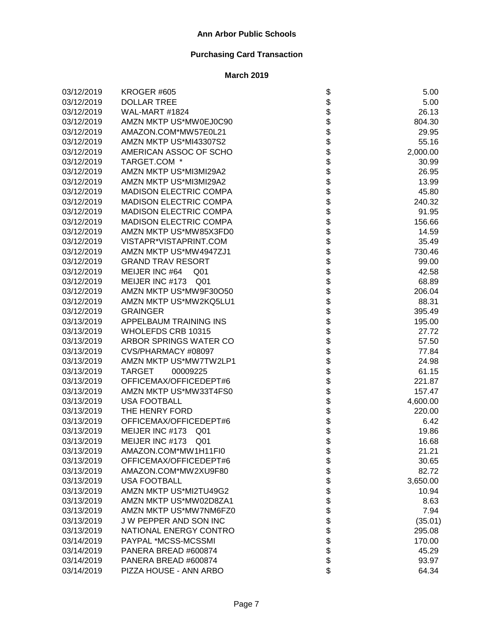| 03/12/2019 | KROGER #605                       | \$                                                                   | 5.00     |
|------------|-----------------------------------|----------------------------------------------------------------------|----------|
| 03/12/2019 | <b>DOLLAR TREE</b>                |                                                                      | 5.00     |
| 03/12/2019 | WAL-MART #1824                    |                                                                      | 26.13    |
| 03/12/2019 | AMZN MKTP US*MW0EJ0C90            | \$\$\$\$                                                             | 804.30   |
| 03/12/2019 | AMAZON.COM*MW57E0L21              |                                                                      | 29.95    |
| 03/12/2019 | AMZN MKTP US*MI43307S2            |                                                                      | 55.16    |
| 03/12/2019 | AMERICAN ASSOC OF SCHO            |                                                                      | 2,000.00 |
| 03/12/2019 | TARGET.COM *                      |                                                                      | 30.99    |
| 03/12/2019 | AMZN MKTP US*MI3MI29A2            |                                                                      | 26.95    |
| 03/12/2019 | AMZN MKTP US*MI3MI29A2            |                                                                      | 13.99    |
| 03/12/2019 | <b>MADISON ELECTRIC COMPA</b>     |                                                                      | 45.80    |
| 03/12/2019 | <b>MADISON ELECTRIC COMPA</b>     |                                                                      | 240.32   |
| 03/12/2019 | <b>MADISON ELECTRIC COMPA</b>     |                                                                      | 91.95    |
| 03/12/2019 | <b>MADISON ELECTRIC COMPA</b>     |                                                                      | 156.66   |
| 03/12/2019 | AMZN MKTP US*MW85X3FD0            |                                                                      | 14.59    |
| 03/12/2019 | VISTAPR*VISTAPRINT.COM            |                                                                      | 35.49    |
| 03/12/2019 | AMZN MKTP US*MW4947ZJ1            |                                                                      | 730.46   |
| 03/12/2019 | <b>GRAND TRAV RESORT</b>          |                                                                      | 99.00    |
| 03/12/2019 | MEIJER INC #64<br>Q <sub>01</sub> |                                                                      | 42.58    |
| 03/12/2019 | MEIJER INC #173 Q01               |                                                                      | 68.89    |
| 03/12/2019 | AMZN MKTP US*MW9F30O50            |                                                                      | 206.04   |
| 03/12/2019 | AMZN MKTP US*MW2KQ5LU1            |                                                                      | 88.31    |
| 03/12/2019 | <b>GRAINGER</b>                   |                                                                      | 395.49   |
| 03/13/2019 | APPELBAUM TRAINING INS            |                                                                      | 195.00   |
| 03/13/2019 | WHOLEFDS CRB 10315                | \$\$\$\$\$\$\$\$\$\$\$\$\$\$\$\$\$\$\$\$\$\$\$\$\$\$\$\$\$\$\$\$\$\$ | 27.72    |
| 03/13/2019 | ARBOR SPRINGS WATER CO            |                                                                      | 57.50    |
| 03/13/2019 | CVS/PHARMACY #08097               |                                                                      | 77.84    |
| 03/13/2019 | AMZN MKTP US*MW7TW2LP1            |                                                                      | 24.98    |
| 03/13/2019 | TARGET<br>00009225                |                                                                      | 61.15    |
| 03/13/2019 | OFFICEMAX/OFFICEDEPT#6            |                                                                      | 221.87   |
| 03/13/2019 | AMZN MKTP US*MW33T4FS0            |                                                                      | 157.47   |
| 03/13/2019 | <b>USA FOOTBALL</b>               |                                                                      | 4,600.00 |
| 03/13/2019 | THE HENRY FORD                    |                                                                      | 220.00   |
| 03/13/2019 | OFFICEMAX/OFFICEDEPT#6            |                                                                      | 6.42     |
| 03/13/2019 | MEIJER INC #173 Q01               | \$                                                                   | 19.86    |
| 03/13/2019 | MEIJER INC #173 Q01               | \$                                                                   | 16.68    |
| 03/13/2019 | AMAZON.COM*MW1H11FI0              | \$                                                                   | 21.21    |
| 03/13/2019 | OFFICEMAX/OFFICEDEPT#6            |                                                                      | 30.65    |
| 03/13/2019 | AMAZON.COM*MW2XU9F80              |                                                                      | 82.72    |
| 03/13/2019 | <b>USA FOOTBALL</b>               |                                                                      | 3,650.00 |
| 03/13/2019 | AMZN MKTP US*MI2TU49G2            |                                                                      | 10.94    |
| 03/13/2019 | AMZN MKTP US*MW02D8ZA1            |                                                                      | 8.63     |
| 03/13/2019 | AMZN MKTP US*MW7NM6FZ0            |                                                                      | 7.94     |
| 03/13/2019 | J W PEPPER AND SON INC            |                                                                      | (35.01)  |
| 03/13/2019 | NATIONAL ENERGY CONTRO            |                                                                      | 295.08   |
| 03/14/2019 | PAYPAL *MCSS-MCSSMI               | \$\$\$\$\$\$\$\$\$\$\$\$\$\$                                         | 170.00   |
| 03/14/2019 | PANERA BREAD #600874              |                                                                      | 45.29    |
| 03/14/2019 | PANERA BREAD #600874              |                                                                      | 93.97    |
| 03/14/2019 | PIZZA HOUSE - ANN ARBO            |                                                                      | 64.34    |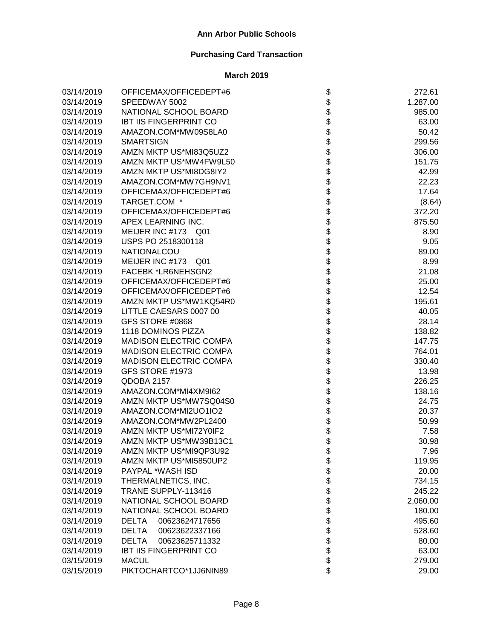| 03/14/2019 | OFFICEMAX/OFFICEDEPT#6         | \$                           | 272.61   |
|------------|--------------------------------|------------------------------|----------|
| 03/14/2019 | SPEEDWAY 5002                  |                              | 1,287.00 |
| 03/14/2019 | NATIONAL SCHOOL BOARD          | \$\$                         | 985.00   |
| 03/14/2019 | <b>IBT IIS FINGERPRINT CO</b>  |                              | 63.00    |
| 03/14/2019 | AMAZON.COM*MW09S8LA0           | \$                           | 50.42    |
| 03/14/2019 | <b>SMARTSIGN</b>               |                              | 299.56   |
| 03/14/2019 | AMZN MKTP US*MI83Q5UZ2         |                              | 306.00   |
| 03/14/2019 | AMZN MKTP US*MW4FW9L50         |                              | 151.75   |
| 03/14/2019 | AMZN MKTP US*MI8DG8IY2         |                              | 42.99    |
| 03/14/2019 | AMAZON.COM*MW7GH9NV1           |                              | 22.23    |
| 03/14/2019 | OFFICEMAX/OFFICEDEPT#6         |                              | 17.64    |
| 03/14/2019 | TARGET.COM *                   |                              | (8.64)   |
| 03/14/2019 | OFFICEMAX/OFFICEDEPT#6         |                              | 372.20   |
| 03/14/2019 | APEX LEARNING INC.             |                              | 875.50   |
| 03/14/2019 | MEIJER INC #173 Q01            | <b>888888888</b>             | 8.90     |
| 03/14/2019 | USPS PO 2518300118             |                              | 9.05     |
| 03/14/2019 | NATIONALCOU                    |                              | 89.00    |
| 03/14/2019 | MEIJER INC #173 Q01            |                              | 8.99     |
| 03/14/2019 | FACEBK *LR6NEHSGN2             |                              | 21.08    |
| 03/14/2019 | OFFICEMAX/OFFICEDEPT#6         |                              | 25.00    |
| 03/14/2019 | OFFICEMAX/OFFICEDEPT#6         |                              | 12.54    |
| 03/14/2019 | AMZN MKTP US*MW1KQ54R0         |                              | 195.61   |
| 03/14/2019 | LITTLE CAESARS 0007 00         |                              | 40.05    |
| 03/14/2019 | GFS STORE #0868                |                              | 28.14    |
| 03/14/2019 | 1118 DOMINOS PIZZA             |                              | 138.82   |
| 03/14/2019 | <b>MADISON ELECTRIC COMPA</b>  | <b>888888888888888888888</b> | 147.75   |
| 03/14/2019 | <b>MADISON ELECTRIC COMPA</b>  |                              | 764.01   |
| 03/14/2019 | <b>MADISON ELECTRIC COMPA</b>  |                              | 330.40   |
| 03/14/2019 | GFS STORE #1973                |                              | 13.98    |
| 03/14/2019 | QDOBA 2157                     | \$                           | 226.25   |
| 03/14/2019 | AMAZON.COM*MI4XM9I62           | \$<br>\$                     | 138.16   |
| 03/14/2019 | AMZN MKTP US*MW7SQ04S0         |                              | 24.75    |
| 03/14/2019 | AMAZON.COM*MI2UO1IO2           | \$                           | 20.37    |
| 03/14/2019 | AMAZON.COM*MW2PL2400           | \$                           | 50.99    |
| 03/14/2019 | AMZN MKTP US*MI72Y0IF2         | \$                           | 7.58     |
| 03/14/2019 | AMZN MKTP US*MW39B13C1         | \$                           | 30.98    |
| 03/14/2019 | AMZN MKTP US*MI9QP3U92         | Φ                            | 7.96     |
| 03/14/2019 | AMZN MKTP US*MI5850UP2         |                              | 119.95   |
| 03/14/2019 | PAYPAL *WASH ISD               |                              | 20.00    |
| 03/14/2019 | THERMALNETICS, INC.            | <b>8888888</b>               | 734.15   |
| 03/14/2019 | TRANE SUPPLY-113416            |                              | 245.22   |
| 03/14/2019 | NATIONAL SCHOOL BOARD          |                              | 2,060.00 |
| 03/14/2019 | NATIONAL SCHOOL BOARD          |                              | 180.00   |
| 03/14/2019 | <b>DELTA</b><br>00623624717656 |                              | 495.60   |
| 03/14/2019 | <b>DELTA</b><br>00623622337166 |                              | 528.60   |
| 03/14/2019 | <b>DELTA</b><br>00623625711332 | \$                           | 80.00    |
| 03/14/2019 | <b>IBT IIS FINGERPRINT CO</b>  | \$                           | 63.00    |
| 03/15/2019 | <b>MACUL</b>                   |                              | 279.00   |
| 03/15/2019 | PIKTOCHARTCO*1JJ6NIN89         | \$                           | 29.00    |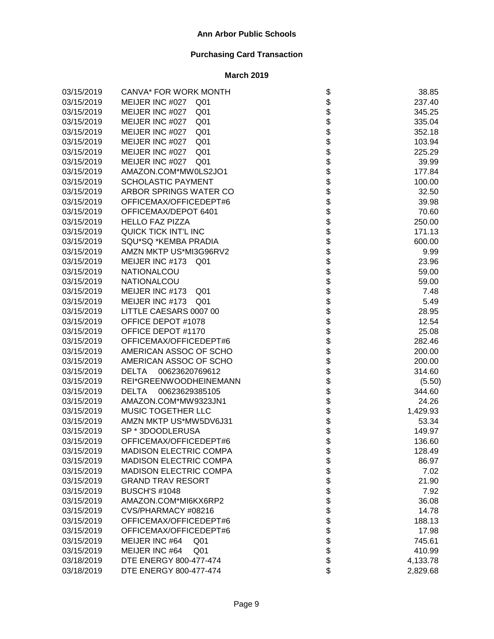| 03/15/2019 | <b>CANVA* FOR WORK MONTH</b>       |                                   | 38.85    |
|------------|------------------------------------|-----------------------------------|----------|
| 03/15/2019 | MEIJER INC #027<br>Q01             |                                   | 237.40   |
| 03/15/2019 | MEIJER INC #027<br>Q <sub>01</sub> |                                   | 345.25   |
| 03/15/2019 | MEIJER INC #027<br>Q <sub>01</sub> |                                   | 335.04   |
| 03/15/2019 | MEIJER INC #027<br>Q <sub>01</sub> |                                   | 352.18   |
| 03/15/2019 | MEIJER INC #027<br>Q <sub>01</sub> |                                   | 103.94   |
| 03/15/2019 | MEIJER INC #027<br>Q <sub>01</sub> |                                   | 225.29   |
| 03/15/2019 | MEIJER INC #027<br>Q01             |                                   | 39.99    |
| 03/15/2019 | AMAZON.COM*MW0LS2JO1               |                                   | 177.84   |
| 03/15/2019 | <b>SCHOLASTIC PAYMENT</b>          |                                   | 100.00   |
| 03/15/2019 | ARBOR SPRINGS WATER CO             |                                   | 32.50    |
| 03/15/2019 | OFFICEMAX/OFFICEDEPT#6             |                                   | 39.98    |
| 03/15/2019 | OFFICEMAX/DEPOT 6401               |                                   | 70.60    |
| 03/15/2019 | <b>HELLO FAZ PIZZA</b>             |                                   | 250.00   |
| 03/15/2019 | QUICK TICK INT'L INC               |                                   | 171.13   |
| 03/15/2019 | SQU*SQ *KEMBA PRADIA               |                                   | 600.00   |
| 03/15/2019 | AMZN MKTP US*MI3G96RV2             |                                   | 9.99     |
| 03/15/2019 | MEIJER INC #173<br>Q01             |                                   | 23.96    |
| 03/15/2019 | NATIONALCOU                        |                                   | 59.00    |
| 03/15/2019 | NATIONALCOU                        |                                   | 59.00    |
| 03/15/2019 | MEIJER INC #173<br>Q01             |                                   | 7.48     |
| 03/15/2019 | MEIJER INC #173<br>Q01             |                                   | 5.49     |
| 03/15/2019 | LITTLE CAESARS 0007 00             |                                   | 28.95    |
| 03/15/2019 | OFFICE DEPOT #1078                 |                                   | 12.54    |
| 03/15/2019 | OFFICE DEPOT #1170                 | ֍֎֍֍֍֍֍֍֍֍֍֍֍֍֍֍֍֍֍֍֍֍֍֍֍֍֍֍֍֍֍֍֍ | 25.08    |
| 03/15/2019 | OFFICEMAX/OFFICEDEPT#6             |                                   | 282.46   |
| 03/15/2019 | AMERICAN ASSOC OF SCHO             |                                   | 200.00   |
| 03/15/2019 | AMERICAN ASSOC OF SCHO             |                                   | 200.00   |
| 03/15/2019 | <b>DELTA</b><br>00623620769612     |                                   | 314.60   |
| 03/15/2019 | REI*GREENWOODHEINEMANN             |                                   | (5.50)   |
| 03/15/2019 | DELTA 00623629385105               |                                   | 344.60   |
| 03/15/2019 | AMAZON.COM*MW9323JN1               |                                   | 24.26    |
| 03/15/2019 | MUSIC TOGETHER LLC                 |                                   | 1,429.93 |
| 03/15/2019 | AMZN MKTP US*MW5DV6J31             |                                   | 53.34    |
| 03/15/2019 | SP * 3DOODLERUSA                   | \$<br>\$                          | 149.97   |
| 03/15/2019 | OFFICEMAX/OFFICEDEPT#6             |                                   | 136.60   |
| 03/15/2019 | <b>MADISON ELECTRIC COMPA</b>      | \$                                | 128.49   |
| 03/15/2019 | <b>MADISON ELECTRIC COMPA</b>      |                                   | 86.97    |
| 03/15/2019 | <b>MADISON ELECTRIC COMPA</b>      |                                   | 7.02     |
| 03/15/2019 | <b>GRAND TRAV RESORT</b>           |                                   | 21.90    |
| 03/15/2019 | <b>BUSCH'S #1048</b>               |                                   | 7.92     |
| 03/15/2019 | AMAZON.COM*MI6KX6RP2               |                                   | 36.08    |
| 03/15/2019 | CVS/PHARMACY #08216                |                                   | 14.78    |
| 03/15/2019 | OFFICEMAX/OFFICEDEPT#6             |                                   | 188.13   |
| 03/15/2019 | OFFICEMAX/OFFICEDEPT#6             | <b>8888888888</b>                 | 17.98    |
| 03/15/2019 | MEIJER INC #64<br>Q <sub>01</sub>  |                                   | 745.61   |
| 03/15/2019 | MEIJER INC #64<br>Q <sub>01</sub>  |                                   | 410.99   |
| 03/18/2019 | DTE ENERGY 800-477-474             |                                   | 4,133.78 |
| 03/18/2019 | DTE ENERGY 800-477-474             | \$                                | 2,829.68 |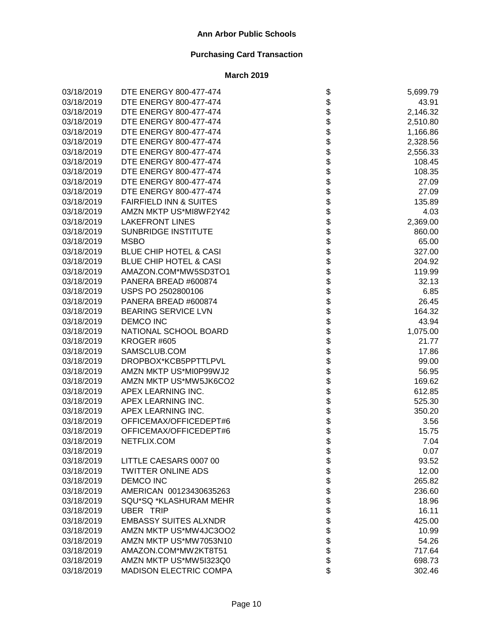| 03/18/2019 | DTE ENERGY 800-477-474            | \$                           | 5,699.79 |
|------------|-----------------------------------|------------------------------|----------|
| 03/18/2019 | DTE ENERGY 800-477-474            |                              | 43.91    |
| 03/18/2019 | DTE ENERGY 800-477-474            |                              | 2,146.32 |
| 03/18/2019 | DTE ENERGY 800-477-474            |                              | 2,510.80 |
| 03/18/2019 | DTE ENERGY 800-477-474            |                              | 1,166.86 |
| 03/18/2019 | DTE ENERGY 800-477-474            |                              | 2,328.56 |
| 03/18/2019 | DTE ENERGY 800-477-474            |                              | 2,556.33 |
| 03/18/2019 | DTE ENERGY 800-477-474            |                              | 108.45   |
| 03/18/2019 | DTE ENERGY 800-477-474            |                              | 108.35   |
| 03/18/2019 | DTE ENERGY 800-477-474            |                              | 27.09    |
| 03/18/2019 | DTE ENERGY 800-477-474            |                              | 27.09    |
| 03/18/2019 | <b>FAIRFIELD INN &amp; SUITES</b> |                              | 135.89   |
| 03/18/2019 | AMZN MKTP US*MI8WF2Y42            |                              | 4.03     |
| 03/18/2019 | <b>LAKEFRONT LINES</b>            |                              | 2,369.00 |
| 03/18/2019 | SUNBRIDGE INSTITUTE               |                              | 860.00   |
| 03/18/2019 | <b>MSBO</b>                       |                              | 65.00    |
| 03/18/2019 | <b>BLUE CHIP HOTEL &amp; CASI</b> |                              | 327.00   |
| 03/18/2019 | <b>BLUE CHIP HOTEL &amp; CASI</b> |                              | 204.92   |
| 03/18/2019 | AMAZON.COM*MW5SD3TO1              |                              | 119.99   |
| 03/18/2019 | PANERA BREAD #600874              |                              | 32.13    |
| 03/18/2019 | USPS PO 2502800106                |                              | 6.85     |
| 03/18/2019 | PANERA BREAD #600874              |                              | 26.45    |
| 03/18/2019 | <b>BEARING SERVICE LVN</b>        |                              | 164.32   |
| 03/18/2019 | <b>DEMCO INC</b>                  |                              | 43.94    |
| 03/18/2019 | NATIONAL SCHOOL BOARD             |                              | 1,075.00 |
| 03/18/2019 | KROGER #605                       |                              | 21.77    |
| 03/18/2019 | SAMSCLUB.COM                      |                              | 17.86    |
| 03/18/2019 | DROPBOX*KCB5PPTTLPVL              |                              | 99.00    |
| 03/18/2019 | AMZN MKTP US*MI0P99WJ2            |                              | 56.95    |
| 03/18/2019 | AMZN MKTP US*MW5JK6CO2            |                              | 169.62   |
| 03/18/2019 | APEX LEARNING INC.                |                              | 612.85   |
| 03/18/2019 | APEX LEARNING INC.                |                              | 525.30   |
| 03/18/2019 | APEX LEARNING INC.                |                              | 350.20   |
| 03/18/2019 | OFFICEMAX/OFFICEDEPT#6            |                              | 3.56     |
| 03/18/2019 | OFFICEMAX/OFFICEDEPT#6            |                              | 15.75    |
| 03/18/2019 | NETFLIX.COM                       |                              | 7.04     |
| 03/18/2019 |                                   | \$                           | 0.07     |
| 03/18/2019 | LITTLE CAESARS 0007 00            |                              | 93.52    |
| 03/18/2019 | <b>TWITTER ONLINE ADS</b>         |                              | 12.00    |
| 03/18/2019 | <b>DEMCO INC</b>                  |                              | 265.82   |
| 03/18/2019 | AMERICAN 00123430635263           |                              | 236.60   |
| 03/18/2019 | SQU*SQ *KLASHURAM MEHR            |                              | 18.96    |
| 03/18/2019 | UBER TRIP                         |                              | 16.11    |
| 03/18/2019 | <b>EMBASSY SUITES ALXNDR</b>      |                              | 425.00   |
| 03/18/2019 | AMZN MKTP US*MW4JC3OO2            |                              | 10.99    |
| 03/18/2019 | AMZN MKTP US*MW7053N10            | \$\$\$\$\$\$\$\$\$\$\$\$\$\$ | 54.26    |
| 03/18/2019 | AMAZON.COM*MW2KT8T51              |                              | 717.64   |
| 03/18/2019 | AMZN MKTP US*MW5I323Q0            |                              | 698.73   |
| 03/18/2019 | MADISON ELECTRIC COMPA            |                              | 302.46   |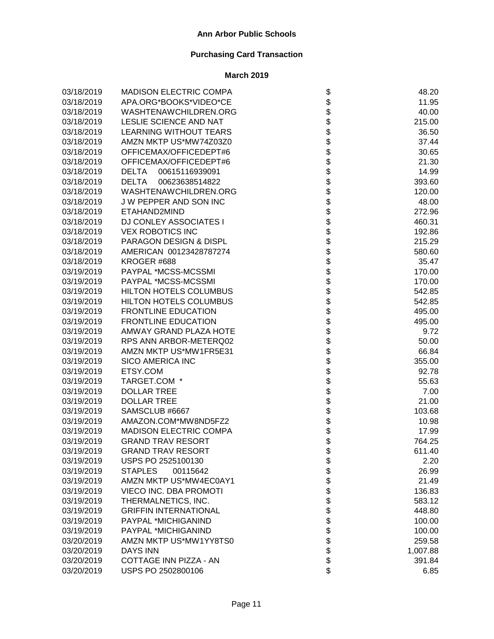| 03/18/2019 | <b>MADISON ELECTRIC COMPA</b>  | \$                | 48.20    |
|------------|--------------------------------|-------------------|----------|
| 03/18/2019 | APA.ORG*BOOKS*VIDEO*CE         |                   | 11.95    |
| 03/18/2019 | WASHTENAWCHILDREN.ORG          |                   | 40.00    |
| 03/18/2019 | LESLIE SCIENCE AND NAT         |                   | 215.00   |
| 03/18/2019 | <b>LEARNING WITHOUT TEARS</b>  |                   | 36.50    |
| 03/18/2019 | AMZN MKTP US*MW74Z03Z0         |                   | 37.44    |
| 03/18/2019 | OFFICEMAX/OFFICEDEPT#6         |                   | 30.65    |
| 03/18/2019 | OFFICEMAX/OFFICEDEPT#6         |                   | 21.30    |
| 03/18/2019 | <b>DELTA</b><br>00615116939091 |                   | 14.99    |
| 03/18/2019 | <b>DELTA</b><br>00623638514822 |                   | 393.60   |
| 03/18/2019 | WASHTENAWCHILDREN.ORG          |                   | 120.00   |
| 03/18/2019 | J W PEPPER AND SON INC         |                   | 48.00    |
| 03/18/2019 | ETAHAND2MIND                   |                   | 272.96   |
| 03/18/2019 | <b>DJ CONLEY ASSOCIATES I</b>  |                   | 460.31   |
| 03/18/2019 | <b>VEX ROBOTICS INC</b>        |                   | 192.86   |
| 03/18/2019 | PARAGON DESIGN & DISPL         |                   | 215.29   |
| 03/18/2019 | AMERICAN 00123428787274        |                   | 580.60   |
| 03/18/2019 | KROGER #688                    |                   | 35.47    |
| 03/19/2019 | PAYPAL *MCSS-MCSSMI            |                   | 170.00   |
| 03/19/2019 | PAYPAL *MCSS-MCSSMI            |                   | 170.00   |
| 03/19/2019 | HILTON HOTELS COLUMBUS         |                   | 542.85   |
| 03/19/2019 | HILTON HOTELS COLUMBUS         |                   | 542.85   |
| 03/19/2019 | <b>FRONTLINE EDUCATION</b>     |                   | 495.00   |
| 03/19/2019 | <b>FRONTLINE EDUCATION</b>     |                   | 495.00   |
| 03/19/2019 | AMWAY GRAND PLAZA HOTE         |                   | 9.72     |
| 03/19/2019 | RPS ANN ARBOR-METERQ02         |                   | 50.00    |
| 03/19/2019 | AMZN MKTP US*MW1FR5E31         |                   | 66.84    |
| 03/19/2019 | <b>SICO AMERICA INC</b>        |                   | 355.00   |
| 03/19/2019 | ETSY.COM                       |                   | 92.78    |
| 03/19/2019 | TARGET.COM *                   |                   | 55.63    |
| 03/19/2019 | <b>DOLLAR TREE</b>             |                   | 7.00     |
| 03/19/2019 | <b>DOLLAR TREE</b>             |                   | 21.00    |
| 03/19/2019 | SAMSCLUB #6667                 |                   | 103.68   |
| 03/19/2019 | AMAZON.COM*MW8ND5FZ2           |                   | 10.98    |
| 03/19/2019 | <b>MADISON ELECTRIC COMPA</b>  |                   | 17.99    |
| 03/19/2019 | <b>GRAND TRAV RESORT</b>       |                   | 764.25   |
| 03/19/2019 | <b>GRAND TRAV RESORT</b>       | \$                | 611.40   |
| 03/19/2019 | USPS PO 2525100130             |                   | 2.20     |
| 03/19/2019 | <b>STAPLES</b><br>00115642     |                   | 26.99    |
| 03/19/2019 | AMZN MKTP US*MW4EC0AY1         |                   | 21.49    |
| 03/19/2019 | VIECO INC. DBA PROMOTI         |                   | 136.83   |
| 03/19/2019 | THERMALNETICS, INC.            |                   | 583.12   |
| 03/19/2019 | <b>GRIFFIN INTERNATIONAL</b>   |                   | 448.80   |
| 03/19/2019 | PAYPAL *MICHIGANIND            |                   | 100.00   |
| 03/19/2019 | PAYPAL *MICHIGANIND            |                   | 100.00   |
| 03/20/2019 | AMZN MKTP US*MW1YY8TS0         | <b>8888888888</b> | 259.58   |
| 03/20/2019 | <b>DAYS INN</b>                |                   | 1,007.88 |
| 03/20/2019 | COTTAGE INN PIZZA - AN         |                   | 391.84   |
| 03/20/2019 | USPS PO 2502800106             | \$                | 6.85     |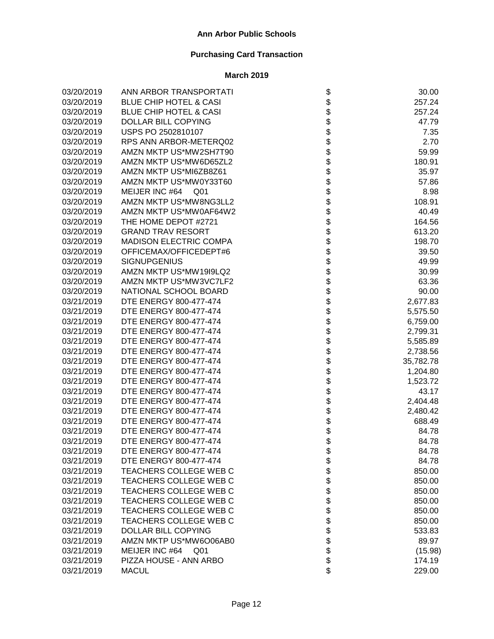| 03/20/2019 | ANN ARBOR TRANSPORTATI            |                                                                  | 30.00     |
|------------|-----------------------------------|------------------------------------------------------------------|-----------|
| 03/20/2019 | <b>BLUE CHIP HOTEL &amp; CASI</b> |                                                                  | 257.24    |
| 03/20/2019 | <b>BLUE CHIP HOTEL &amp; CASI</b> |                                                                  | 257.24    |
| 03/20/2019 | DOLLAR BILL COPYING               | \$\$\$                                                           | 47.79     |
| 03/20/2019 | USPS PO 2502810107                |                                                                  | 7.35      |
| 03/20/2019 | RPS ANN ARBOR-METERQ02            |                                                                  | 2.70      |
| 03/20/2019 | AMZN MKTP US*MW2SH7T90            |                                                                  | 59.99     |
| 03/20/2019 | AMZN MKTP US*MW6D65ZL2            |                                                                  | 180.91    |
| 03/20/2019 | AMZN MKTP US*MI6ZB8Z61            |                                                                  | 35.97     |
| 03/20/2019 | AMZN MKTP US*MW0Y33T60            |                                                                  | 57.86     |
| 03/20/2019 | MEIJER INC #64<br>Q <sub>01</sub> |                                                                  | 8.98      |
| 03/20/2019 | AMZN MKTP US*MW8NG3LL2            |                                                                  | 108.91    |
| 03/20/2019 | AMZN MKTP US*MW0AF64W2            |                                                                  | 40.49     |
| 03/20/2019 | THE HOME DEPOT #2721              |                                                                  | 164.56    |
| 03/20/2019 | <b>GRAND TRAV RESORT</b>          |                                                                  | 613.20    |
| 03/20/2019 | <b>MADISON ELECTRIC COMPA</b>     |                                                                  | 198.70    |
| 03/20/2019 | OFFICEMAX/OFFICEDEPT#6            |                                                                  | 39.50     |
| 03/20/2019 | <b>SIGNUPGENIUS</b>               |                                                                  | 49.99     |
| 03/20/2019 | AMZN MKTP US*MW19I9LQ2            |                                                                  | 30.99     |
| 03/20/2019 | AMZN MKTP US*MW3VC7LF2            |                                                                  | 63.36     |
| 03/20/2019 | NATIONAL SCHOOL BOARD             |                                                                  | 90.00     |
| 03/21/2019 | DTE ENERGY 800-477-474            |                                                                  | 2,677.83  |
| 03/21/2019 | DTE ENERGY 800-477-474            |                                                                  | 5,575.50  |
| 03/21/2019 | DTE ENERGY 800-477-474            |                                                                  | 6,759.00  |
| 03/21/2019 | DTE ENERGY 800-477-474            | \$\$\$\$\$\$\$\$\$\$\$\$\$\$\$\$\$\$\$\$\$\$\$\$\$\$\$\$\$\$\$\$ | 2,799.31  |
| 03/21/2019 | DTE ENERGY 800-477-474            |                                                                  | 5,585.89  |
| 03/21/2019 | DTE ENERGY 800-477-474            |                                                                  | 2,738.56  |
| 03/21/2019 | DTE ENERGY 800-477-474            |                                                                  | 35,782.78 |
| 03/21/2019 | DTE ENERGY 800-477-474            |                                                                  | 1,204.80  |
| 03/21/2019 | DTE ENERGY 800-477-474            |                                                                  | 1,523.72  |
| 03/21/2019 | DTE ENERGY 800-477-474            |                                                                  | 43.17     |
| 03/21/2019 | DTE ENERGY 800-477-474            |                                                                  | 2,404.48  |
| 03/21/2019 | DTE ENERGY 800-477-474            | \$                                                               | 2,480.42  |
| 03/21/2019 | DTE ENERGY 800-477-474            | \$                                                               | 688.49    |
| 03/21/2019 | DTE ENERGY 800-477-474            | \$                                                               | 84.78     |
| 03/21/2019 | DTE ENERGY 800-477-474            |                                                                  | 84.78     |
| 03/21/2019 | DTE ENERGY 800-477-474            | Φ                                                                | 84.78     |
| 03/21/2019 | DTE ENERGY 800-477-474            |                                                                  | 84.78     |
| 03/21/2019 | TEACHERS COLLEGE WEB C            |                                                                  | 850.00    |
| 03/21/2019 | TEACHERS COLLEGE WEB C            |                                                                  | 850.00    |
| 03/21/2019 | TEACHERS COLLEGE WEB C            |                                                                  | 850.00    |
| 03/21/2019 | TEACHERS COLLEGE WEB C            |                                                                  | 850.00    |
| 03/21/2019 | TEACHERS COLLEGE WEB C            |                                                                  | 850.00    |
| 03/21/2019 | TEACHERS COLLEGE WEB C            |                                                                  | 850.00    |
| 03/21/2019 | DOLLAR BILL COPYING               |                                                                  | 533.83    |
| 03/21/2019 | AMZN MKTP US*MW6O06AB0            | <b>8888888888</b>                                                | 89.97     |
| 03/21/2019 | MEIJER INC #64<br>Q01             |                                                                  | (15.98)   |
| 03/21/2019 | PIZZA HOUSE - ANN ARBO            |                                                                  | 174.19    |
| 03/21/2019 | <b>MACUL</b>                      | \$                                                               | 229.00    |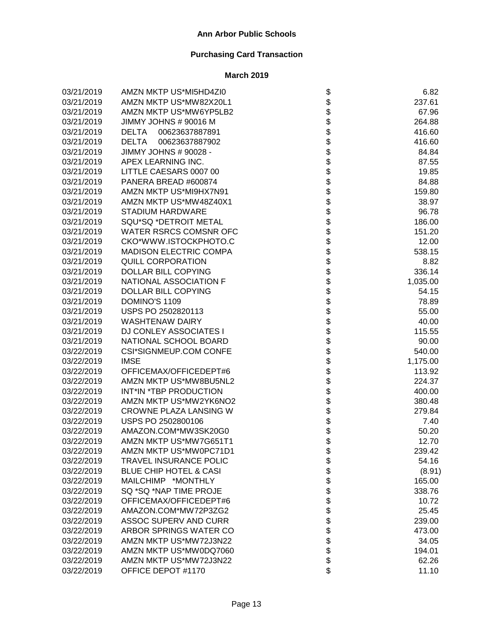| 03/21/2019 | AMZN MKTP US*MI5HD4ZI0            | \$                                | 6.82     |
|------------|-----------------------------------|-----------------------------------|----------|
| 03/21/2019 | AMZN MKTP US*MW82X20L1            |                                   | 237.61   |
| 03/21/2019 | AMZN MKTP US*MW6YP5LB2            |                                   | 67.96    |
| 03/21/2019 | JIMMY JOHNS # 90016 M             |                                   | 264.88   |
| 03/21/2019 | 00623637887891<br><b>DELTA</b>    |                                   | 416.60   |
| 03/21/2019 | <b>DELTA</b><br>00623637887902    |                                   | 416.60   |
| 03/21/2019 | JIMMY JOHNS # 90028 -             |                                   | 84.84    |
| 03/21/2019 | APEX LEARNING INC.                |                                   | 87.55    |
| 03/21/2019 | LITTLE CAESARS 0007 00            |                                   | 19.85    |
| 03/21/2019 | PANERA BREAD #600874              |                                   | 84.88    |
| 03/21/2019 | AMZN MKTP US*MI9HX7N91            |                                   | 159.80   |
| 03/21/2019 | AMZN MKTP US*MW48Z40X1            |                                   | 38.97    |
| 03/21/2019 | <b>STADIUM HARDWARE</b>           |                                   | 96.78    |
| 03/21/2019 | SQU*SQ *DETROIT METAL             |                                   | 186.00   |
| 03/21/2019 | WATER RSRCS COMSNR OFC            |                                   | 151.20   |
| 03/21/2019 | CKO*WWW.ISTOCKPHOTO.C             |                                   | 12.00    |
| 03/21/2019 | <b>MADISON ELECTRIC COMPA</b>     |                                   | 538.15   |
| 03/21/2019 | <b>QUILL CORPORATION</b>          |                                   | 8.82     |
| 03/21/2019 | <b>DOLLAR BILL COPYING</b>        |                                   | 336.14   |
| 03/21/2019 | NATIONAL ASSOCIATION F            |                                   | 1,035.00 |
| 03/21/2019 | <b>DOLLAR BILL COPYING</b>        |                                   | 54.15    |
| 03/21/2019 | DOMINO'S 1109                     |                                   | 78.89    |
| 03/21/2019 | USPS PO 2502820113                |                                   | 55.00    |
| 03/21/2019 | <b>WASHTENAW DAIRY</b>            |                                   | 40.00    |
| 03/21/2019 | DJ CONLEY ASSOCIATES I            |                                   | 115.55   |
| 03/21/2019 | NATIONAL SCHOOL BOARD             | ֍֎֍֎֍֍֍֍֍֍֍֍֍֍֍֍֍֍֍֍֍֍֍֍֍֍֍֍֍֍֍֍֍ | 90.00    |
| 03/22/2019 | CSI*SIGNMEUP.COM CONFE            |                                   | 540.00   |
| 03/22/2019 | <b>IMSE</b>                       |                                   | 1,175.00 |
| 03/22/2019 | OFFICEMAX/OFFICEDEPT#6            |                                   | 113.92   |
| 03/22/2019 | AMZN MKTP US*MW8BU5NL2            |                                   | 224.37   |
| 03/22/2019 | INT*IN *TBP PRODUCTION            |                                   | 400.00   |
| 03/22/2019 | AMZN MKTP US*MW2YK6NO2            |                                   | 380.48   |
| 03/22/2019 | CROWNE PLAZA LANSING W            |                                   | 279.84   |
| 03/22/2019 | USPS PO 2502800106                |                                   | 7.40     |
| 03/22/2019 | AMAZON.COM*MW3SK20G0              |                                   | 50.20    |
| 03/22/2019 | AMZN MKTP US*MW7G651T1            |                                   | 12.70    |
| 03/22/2019 | AMZN MKTP US*MW0PC71D1            | \$                                | 239.42   |
| 03/22/2019 | <b>TRAVEL INSURANCE POLIC</b>     |                                   | 54.16    |
| 03/22/2019 | <b>BLUE CHIP HOTEL &amp; CASI</b> |                                   | (8.91)   |
| 03/22/2019 | MAILCHIMP *MONTHLY                |                                   | 165.00   |
| 03/22/2019 | SQ *SQ *NAP TIME PROJE            |                                   | 338.76   |
| 03/22/2019 | OFFICEMAX/OFFICEDEPT#6            |                                   | 10.72    |
| 03/22/2019 | AMAZON.COM*MW72P3ZG2              |                                   | 25.45    |
| 03/22/2019 | <b>ASSOC SUPERV AND CURR</b>      |                                   | 239.00   |
| 03/22/2019 | ARBOR SPRINGS WATER CO            |                                   | 473.00   |
| 03/22/2019 | AMZN MKTP US*MW72J3N22            |                                   | 34.05    |
| 03/22/2019 | AMZN MKTP US*MW0DQ7060            |                                   | 194.01   |
| 03/22/2019 | AMZN MKTP US*MW72J3N22            |                                   | 62.26    |
| 03/22/2019 | OFFICE DEPOT #1170                | \$\$\$\$\$\$\$\$\$\$\$\$\$        | 11.10    |
|            |                                   |                                   |          |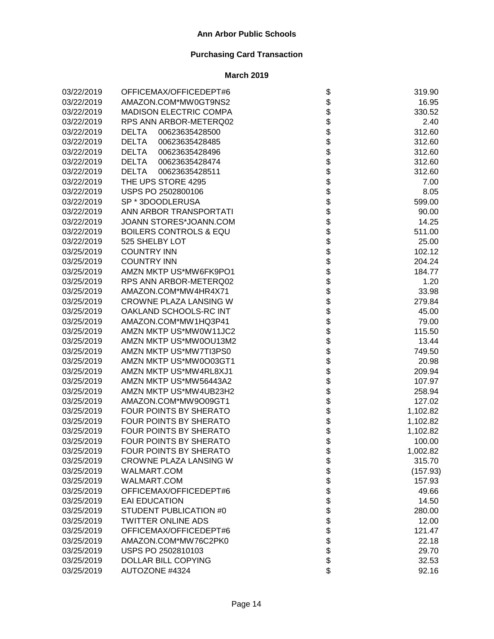| 03/22/2019 | OFFICEMAX/OFFICEDEPT#6            | \$                         | 319.90   |
|------------|-----------------------------------|----------------------------|----------|
| 03/22/2019 | AMAZON.COM*MW0GT9NS2              |                            | 16.95    |
| 03/22/2019 | <b>MADISON ELECTRIC COMPA</b>     |                            | 330.52   |
| 03/22/2019 | RPS ANN ARBOR-METERQ02            |                            | 2.40     |
| 03/22/2019 | <b>DELTA</b><br>00623635428500    |                            | 312.60   |
| 03/22/2019 | <b>DELTA</b><br>00623635428485    |                            | 312.60   |
| 03/22/2019 | <b>DELTA</b><br>00623635428496    |                            | 312.60   |
| 03/22/2019 | <b>DELTA</b><br>00623635428474    |                            | 312.60   |
| 03/22/2019 | <b>DELTA</b><br>00623635428511    |                            | 312.60   |
| 03/22/2019 | THE UPS STORE 4295                |                            | 7.00     |
| 03/22/2019 | USPS PO 2502800106                |                            | 8.05     |
| 03/22/2019 | SP * 3DOODLERUSA                  |                            | 599.00   |
| 03/22/2019 | ANN ARBOR TRANSPORTATI            |                            | 90.00    |
| 03/22/2019 | JOANN STORES*JOANN.COM            |                            | 14.25    |
| 03/22/2019 | <b>BOILERS CONTROLS &amp; EQU</b> |                            | 511.00   |
| 03/22/2019 | 525 SHELBY LOT                    |                            | 25.00    |
| 03/25/2019 | <b>COUNTRY INN</b>                |                            | 102.12   |
| 03/25/2019 | <b>COUNTRY INN</b>                |                            | 204.24   |
| 03/25/2019 | AMZN MKTP US*MW6FK9PO1            |                            | 184.77   |
| 03/25/2019 | RPS ANN ARBOR-METERQ02            |                            | 1.20     |
| 03/25/2019 | AMAZON.COM*MW4HR4X71              |                            | 33.98    |
| 03/25/2019 | CROWNE PLAZA LANSING W            |                            | 279.84   |
| 03/25/2019 | OAKLAND SCHOOLS-RC INT            |                            | 45.00    |
| 03/25/2019 | AMAZON.COM*MW1HQ3P41              |                            | 79.00    |
| 03/25/2019 | AMZN MKTP US*MW0W11JC2            |                            | 115.50   |
| 03/25/2019 | AMZN MKTP US*MW0OU13M2            |                            | 13.44    |
| 03/25/2019 | AMZN MKTP US*MW7TI3PS0            |                            | 749.50   |
| 03/25/2019 | AMZN MKTP US*MW0O03GT1            |                            | 20.98    |
| 03/25/2019 | AMZN MKTP US*MW4RL8XJ1            |                            | 209.94   |
| 03/25/2019 | AMZN MKTP US*MW56443A2            |                            | 107.97   |
| 03/25/2019 | AMZN MKTP US*MW4UB23H2            |                            | 258.94   |
| 03/25/2019 | AMAZON.COM*MW9O09GT1              |                            | 127.02   |
| 03/25/2019 | FOUR POINTS BY SHERATO            |                            | 1,102.82 |
| 03/25/2019 | FOUR POINTS BY SHERATO            |                            | 1,102.82 |
| 03/25/2019 | FOUR POINTS BY SHERATO            |                            | 1,102.82 |
| 03/25/2019 | <b>FOUR POINTS BY SHERATO</b>     | \$                         | 100.00   |
| 03/25/2019 | FOUR POINTS BY SHERATO            | \$                         | 1,002.82 |
| 03/25/2019 | <b>CROWNE PLAZA LANSING W</b>     |                            | 315.70   |
| 03/25/2019 | WALMART.COM                       |                            | (157.93) |
| 03/25/2019 | WALMART.COM                       |                            | 157.93   |
| 03/25/2019 | OFFICEMAX/OFFICEDEPT#6            |                            | 49.66    |
| 03/25/2019 | <b>EAI EDUCATION</b>              |                            | 14.50    |
| 03/25/2019 | <b>STUDENT PUBLICATION #0</b>     |                            | 280.00   |
| 03/25/2019 | <b>TWITTER ONLINE ADS</b>         |                            | 12.00    |
| 03/25/2019 | OFFICEMAX/OFFICEDEPT#6            |                            | 121.47   |
| 03/25/2019 | AMAZON.COM*MW76C2PK0              | \$\$\$\$\$\$\$\$\$\$\$\$\$ | 22.18    |
| 03/25/2019 | USPS PO 2502810103                |                            | 29.70    |
| 03/25/2019 | DOLLAR BILL COPYING               |                            | 32.53    |
| 03/25/2019 | AUTOZONE #4324                    |                            | 92.16    |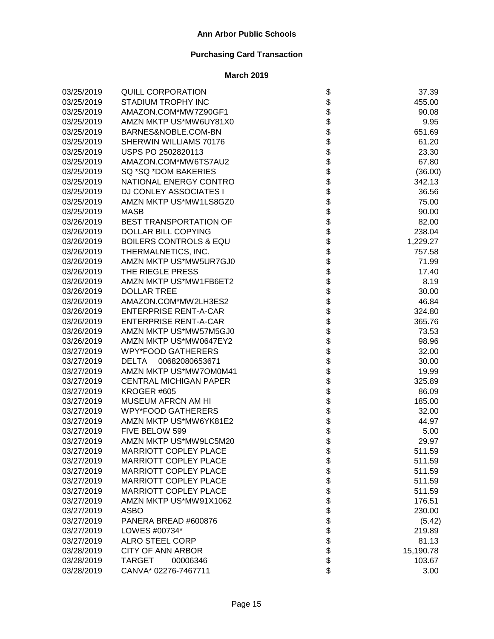| 03/25/2019 | <b>QUILL CORPORATION</b>          |                            | 37.39     |
|------------|-----------------------------------|----------------------------|-----------|
| 03/25/2019 | STADIUM TROPHY INC                |                            | 455.00    |
| 03/25/2019 | AMAZON.COM*MW7Z90GF1              |                            | 90.08     |
| 03/25/2019 | AMZN MKTP US*MW6UY81X0            |                            | 9.95      |
| 03/25/2019 | BARNES&NOBLE.COM-BN               |                            | 651.69    |
| 03/25/2019 | SHERWIN WILLIAMS 70176            |                            | 61.20     |
| 03/25/2019 | USPS PO 2502820113                |                            | 23.30     |
| 03/25/2019 | AMAZON.COM*MW6TS7AU2              |                            | 67.80     |
| 03/25/2019 | SQ *SQ *DOM BAKERIES              |                            | (36.00)   |
| 03/25/2019 | NATIONAL ENERGY CONTRO            |                            | 342.13    |
| 03/25/2019 | <b>DJ CONLEY ASSOCIATES I</b>     |                            | 36.56     |
| 03/25/2019 | AMZN MKTP US*MW1LS8GZ0            |                            | 75.00     |
| 03/25/2019 | <b>MASB</b>                       |                            | 90.00     |
| 03/26/2019 | <b>BEST TRANSPORTATION OF</b>     |                            | 82.00     |
| 03/26/2019 | DOLLAR BILL COPYING               |                            | 238.04    |
| 03/26/2019 | <b>BOILERS CONTROLS &amp; EQU</b> |                            | 1,229.27  |
| 03/26/2019 | THERMALNETICS, INC.               |                            | 757.58    |
| 03/26/2019 | AMZN MKTP US*MW5UR7GJ0            |                            | 71.99     |
| 03/26/2019 | THE RIEGLE PRESS                  |                            | 17.40     |
| 03/26/2019 | AMZN MKTP US*MW1FB6ET2            |                            | 8.19      |
| 03/26/2019 | <b>DOLLAR TREE</b>                |                            | 30.00     |
| 03/26/2019 | AMAZON.COM*MW2LH3ES2              |                            | 46.84     |
| 03/26/2019 | <b>ENTERPRISE RENT-A-CAR</b>      |                            | 324.80    |
| 03/26/2019 | <b>ENTERPRISE RENT-A-CAR</b>      |                            | 365.76    |
| 03/26/2019 | AMZN MKTP US*MW57M5GJ0            |                            | 73.53     |
| 03/26/2019 | AMZN MKTP US*MW0647EY2            |                            | 98.96     |
| 03/27/2019 | <b>WPY*FOOD GATHERERS</b>         |                            | 32.00     |
| 03/27/2019 | 00682080653671<br>DELTA           |                            | 30.00     |
| 03/27/2019 | AMZN MKTP US*MW7OM0M41            |                            | 19.99     |
| 03/27/2019 | <b>CENTRAL MICHIGAN PAPER</b>     |                            | 325.89    |
| 03/27/2019 | KROGER #605                       |                            | 86.09     |
| 03/27/2019 | <b>MUSEUM AFRCN AM HI</b>         |                            | 185.00    |
| 03/27/2019 | <b>WPY*FOOD GATHERERS</b>         |                            | 32.00     |
| 03/27/2019 | AMZN MKTP US*MW6YK81E2            |                            | 44.97     |
| 03/27/2019 | FIVE BELOW 599                    |                            | 5.00      |
| 03/27/2019 | AMZN MKTP US*MW9LC5M20            |                            | 29.97     |
| 03/27/2019 | <b>MARRIOTT COPLEY PLACE</b>      | Ф                          | 511.59    |
| 03/27/2019 | <b>MARRIOTT COPLEY PLACE</b>      |                            | 511.59    |
| 03/27/2019 | <b>MARRIOTT COPLEY PLACE</b>      |                            | 511.59    |
| 03/27/2019 | <b>MARRIOTT COPLEY PLACE</b>      |                            | 511.59    |
| 03/27/2019 | <b>MARRIOTT COPLEY PLACE</b>      |                            | 511.59    |
| 03/27/2019 | AMZN MKTP US*MW91X1062            |                            | 176.51    |
| 03/27/2019 | <b>ASBO</b>                       |                            | 230.00    |
| 03/27/2019 | PANERA BREAD #600876              |                            | (5.42)    |
| 03/27/2019 | LOWES #00734*                     | \$\$\$\$\$\$\$\$\$\$\$\$\$ | 219.89    |
| 03/27/2019 | <b>ALRO STEEL CORP</b>            |                            | 81.13     |
| 03/28/2019 | <b>CITY OF ANN ARBOR</b>          |                            | 15,190.78 |
| 03/28/2019 | <b>TARGET</b><br>00006346         |                            | 103.67    |
| 03/28/2019 | CANVA* 02276-7467711              |                            | 3.00      |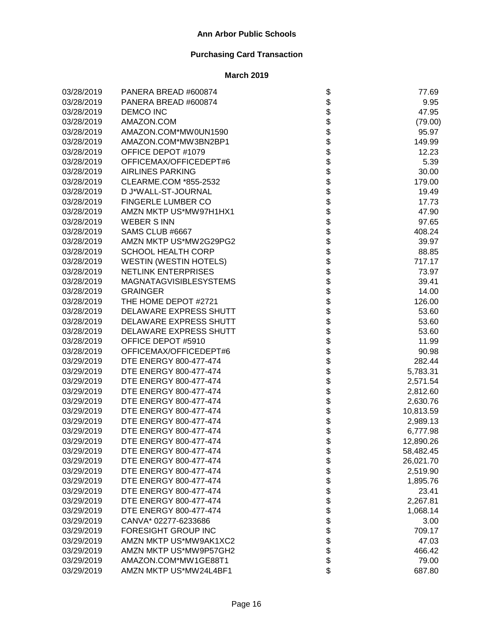| 03/28/2019 | PANERA BREAD #600874          |                    | 77.69     |
|------------|-------------------------------|--------------------|-----------|
| 03/28/2019 | PANERA BREAD #600874          |                    | 9.95      |
| 03/28/2019 | <b>DEMCO INC</b>              |                    | 47.95     |
| 03/28/2019 | AMAZON.COM                    |                    | (79.00)   |
| 03/28/2019 | AMAZON.COM*MW0UN1590          |                    | 95.97     |
| 03/28/2019 | AMAZON.COM*MW3BN2BP1          |                    | 149.99    |
| 03/28/2019 | OFFICE DEPOT #1079            |                    | 12.23     |
| 03/28/2019 | OFFICEMAX/OFFICEDEPT#6        |                    | 5.39      |
| 03/28/2019 | <b>AIRLINES PARKING</b>       |                    | 30.00     |
| 03/28/2019 | CLEARME.COM *855-2532         |                    | 179.00    |
| 03/28/2019 | D J*WALL-ST-JOURNAL           |                    | 19.49     |
| 03/28/2019 | <b>FINGERLE LUMBER CO</b>     |                    | 17.73     |
| 03/28/2019 | AMZN MKTP US*MW97H1HX1        |                    | 47.90     |
| 03/28/2019 | <b>WEBER S INN</b>            |                    | 97.65     |
| 03/28/2019 | SAMS CLUB #6667               |                    | 408.24    |
| 03/28/2019 | AMZN MKTP US*MW2G29PG2        |                    | 39.97     |
| 03/28/2019 | <b>SCHOOL HEALTH CORP</b>     |                    | 88.85     |
| 03/28/2019 | <b>WESTIN (WESTIN HOTELS)</b> |                    | 717.17    |
| 03/28/2019 | <b>NETLINK ENTERPRISES</b>    |                    | 73.97     |
| 03/28/2019 | <b>MAGNATAGVISIBLESYSTEMS</b> |                    | 39.41     |
| 03/28/2019 | <b>GRAINGER</b>               |                    | 14.00     |
| 03/28/2019 | THE HOME DEPOT #2721          |                    | 126.00    |
| 03/28/2019 | DELAWARE EXPRESS SHUTT        |                    | 53.60     |
| 03/28/2019 | DELAWARE EXPRESS SHUTT        |                    | 53.60     |
| 03/28/2019 | DELAWARE EXPRESS SHUTT        |                    | 53.60     |
| 03/28/2019 | OFFICE DEPOT #5910            |                    | 11.99     |
| 03/28/2019 | OFFICEMAX/OFFICEDEPT#6        |                    | 90.98     |
| 03/29/2019 | DTE ENERGY 800-477-474        |                    | 282.44    |
| 03/29/2019 | DTE ENERGY 800-477-474        |                    | 5,783.31  |
| 03/29/2019 | DTE ENERGY 800-477-474        |                    | 2,571.54  |
| 03/29/2019 | DTE ENERGY 800-477-474        |                    | 2,812.60  |
| 03/29/2019 | DTE ENERGY 800-477-474        |                    | 2,630.76  |
| 03/29/2019 | DTE ENERGY 800-477-474        |                    | 10,813.59 |
| 03/29/2019 | DTE ENERGY 800-477-474        |                    | 2,989.13  |
| 03/29/2019 | DTE ENERGY 800-477-474        |                    | 6,777.98  |
| 03/29/2019 | DTE ENERGY 800-477-474        |                    | 12,890.26 |
| 03/29/2019 | DTE ENERGY 800-477-474        | Φ                  | 58,482.45 |
| 03/29/2019 | DTE ENERGY 800-477-474        |                    | 26,021.70 |
| 03/29/2019 | DTE ENERGY 800-477-474        |                    | 2,519.90  |
| 03/29/2019 | DTE ENERGY 800-477-474        |                    | 1,895.76  |
| 03/29/2019 | DTE ENERGY 800-477-474        |                    | 23.41     |
| 03/29/2019 | DTE ENERGY 800-477-474        |                    | 2,267.81  |
| 03/29/2019 | DTE ENERGY 800-477-474        |                    | 1,068.14  |
| 03/29/2019 | CANVA* 02277-6233686          |                    | 3.00      |
| 03/29/2019 | FORESIGHT GROUP INC           |                    | 709.17    |
| 03/29/2019 | AMZN MKTP US*MW9AK1XC2        | <b>88888888888</b> | 47.03     |
| 03/29/2019 | AMZN MKTP US*MW9P57GH2        |                    | 466.42    |
| 03/29/2019 | AMAZON.COM*MW1GE88T1          |                    | 79.00     |
| 03/29/2019 | AMZN MKTP US*MW24L4BF1        | \$                 | 687.80    |